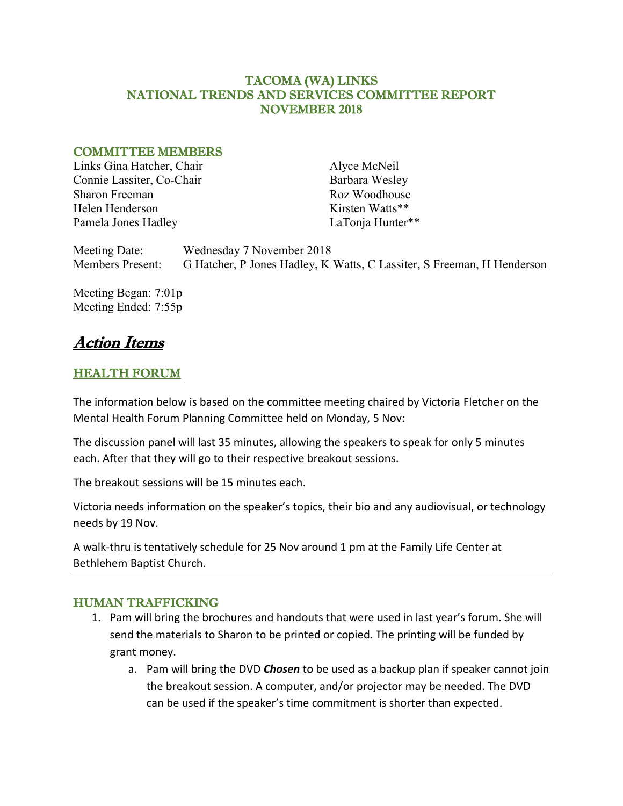### TACOMA (WA) LINKS NATIONAL TRENDS AND SERVICES COMMITTEE REPORT NOVEMBER 2018

#### COMMITTEE MEMBERS

Links Gina Hatcher, Chair Connie Lassiter, Co-Chair Sharon Freeman Helen Henderson Pamela Jones Hadley

Alyce McNeil Barbara Wesley Roz Woodhouse Kirsten Watts\*\* LaTonja Hunter\*\*

Meeting Date: Wednesday 7 November 2018 Members Present: G Hatcher, P Jones Hadley, K Watts, C Lassiter, S Freeman, H Henderson

Meeting Began: 7:01p Meeting Ended: 7:55p

# Action Items

# HEALTH FORUM

The information below is based on the committee meeting chaired by Victoria Fletcher on the Mental Health Forum Planning Committee held on Monday, 5 Nov:

The discussion panel will last 35 minutes, allowing the speakers to speak for only 5 minutes each. After that they will go to their respective breakout sessions.

The breakout sessions will be 15 minutes each.

Victoria needs information on the speaker's topics, their bio and any audiovisual, or technology needs by 19 Nov.

A walk-thru is tentatively schedule for 25 Nov around 1 pm at the Family Life Center at Bethlehem Baptist Church.

# HUMAN TRAFFICKING

- 1. Pam will bring the brochures and handouts that were used in last year's forum. She will send the materials to Sharon to be printed or copied. The printing will be funded by grant money.
	- a. Pam will bring the DVD *Chosen* to be used as a backup plan if speaker cannot join the breakout session. A computer, and/or projector may be needed. The DVD can be used if the speaker's time commitment is shorter than expected.